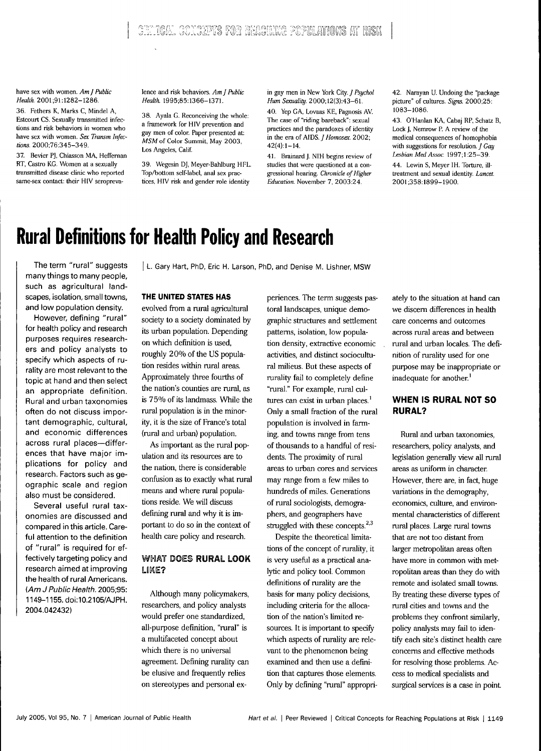have sex with women. *AmJ Public Health. 200l,9\:\282-l286.*

36. Fethers K, Marks C, Mindel A, Estcourt CS. Sexually transmitted infections and risk behaviors in women who have sex with women. *Sex Transm Infections.* 2000:76:345-349.

37. Bevier PJ, Chiasson MA, Heffernan RT, Castro KG. Women at a sexually transmitted disease clinic who reported same-sex contact: their HIV seroprevalence and risk behaviors. *Am]Puhlic Health.* 1995;85:1366-1371.

38. Ayala G. Reconceiving the whole: a framework for HIV prevention and gay men of color. Paper presented at: *MSM* of Color Summit, May 2003, Los Angeles, Calif.

39. Wegesin D], Meyer-Bahlburg HFL. Top/bottom self-label, anal sex practices, HIV risk and gender role identity

in gay men in New York City. *] Psychoi Hum Sexuality.* 2000;12(3):43-61.

40. Yep GA, Lovaas KE, Pagnosis AV. The case of "riding bareback": sexual practices and the paradoxes of identity in the era of AIDS. *J Homosex*. 2002;  $42(4):1-14.$ 

41. Brainard J. NIH begins review of studies that were questioned at a congressional hearing. *Chronicle of Higher Education.* November 7, 2003:24.

42. Narayan U. Undoing the "package picture" of cultures. *Signs.* 2000;25: t083-1086.

43. O'Hanlan KA, Cabaj RP, Schatz B, Lock J, Nemrow P. A review of the medical consequences of homophobia with suggestions for resolution. / *Gay* Lesbian Med Assoc. 1997;1:25-39.

44. Lewin S, Meyer IH. Torture, illtreatment and sexual identity. *Lancet.* 2001:358:1899-1900.

# **Rural Definitions for Health Policy and Research**

The term "rural" suggests many things to many people, such as agricultural landscapes, isolation, small towns, and low population density.

However, defining "rural" for health policy and research purposes requires researchers and policy analysts to specify which aspects of rurality are most relevant to the topic at hand and then select an appropriate definition. Rural and urban taxonomies often do not discuss important demographic, cultural, and economic differences across rural places—differences that have major implications for policy and research. Factors such as geographic scale and region also must be considered.

Several useful rural taxonomies are discussed and compared in this article. Careful attention to the definition of "rural" is required for effectively targeting policy and research aimed at improving the health of rural Americans. (Am J Public Health. 2005;95: 1149-1155. doi:10.2105/AJPH. 2004.042432)

L. Gary Hart, PhD, Eric H. Larson, PhD, and Denise M. Lishner, MSW

# **THE UNITED STATES HAS**

evolved from a rural agricultural society to a society dominated by its urban population. Depending on which definition is used, roughly 20% of the US population resides within rural areas. Approximately three fourths of the nation's counties are rural, as is 75% of its landmass. While the rural population is in the minority, it is the size of France's total {rural and urban) population.

As important as the rural population and its resources are to the nation, there is considerable confusion as to exactly what rural means and where rural populations reside. We will discuss defining rural and why it is important to do so in the context of health care policy and research.

## **WHAT DOES RURAL LOOK** LIKE?

Although many policymakers, researchers, and policy analysts would prefer one standardized, all-purpose definition, "rural" is a multifaceted concept about which there is no universal agreement. Defining rurality can be elusive and frequently relies on stereotypes and personal ex-

periences. The term suggests pastoral landscapes, unique demographic structures and settlement patterns, isolation, low population density, extractive economic activities, and distinct sociocultural milieus. But these aspects of rurality fail to completely define "rural." For example, rural cultures can exist in urban places.' Only a small fraction of the rural population is involved in farming, and towns range from tens of thousands to a handful of residents. The proximity of rural areas to urban cores and services may range from a few miles to hundreds of miles. Generations of rural sociologists, demographers, and geographers have struggled with these concepts. $2.3$ 

Despite the theoretical limitations of the concept of mrality, it is very useful as a practical analytic and policy tool. Common definitions of rurality are the basis for many policy decisions, including criteria for the allocation of the nation's limited resources. It is important to specify which aspects of rurality are relevant to the phenomenon being examined and then use a definition that captures those elements. Only by defining "rural" appropriately to the situation at hand can we discern differences in health care concems and outcomes across mral areas and between rural and urban locales. The definition of mrality used for one purpose may be inappropriate or inadequate for another.<sup>1</sup>

## **WHEN IS RURAL NOT SO RURAL?**

Rural and urban taxonomies, researchers, policy analysts, and legislation generally view all rural areas as uniform in character. However, there are, in fact, huge variations in the demography, economics, culture, and environmental characteristics of different rural places. Large rural towns that are not too distant from larger metropolitan areas often have more in common with metropolitan areas than they do with remote and isolated small towns. By treating these diverse types of rural cities and towns and the problems they confront similarly, policy analysts may fail to identify each site's distinct health care concems and effective methods for resolving those problems. Access to medical specialists and surgical services is a case in point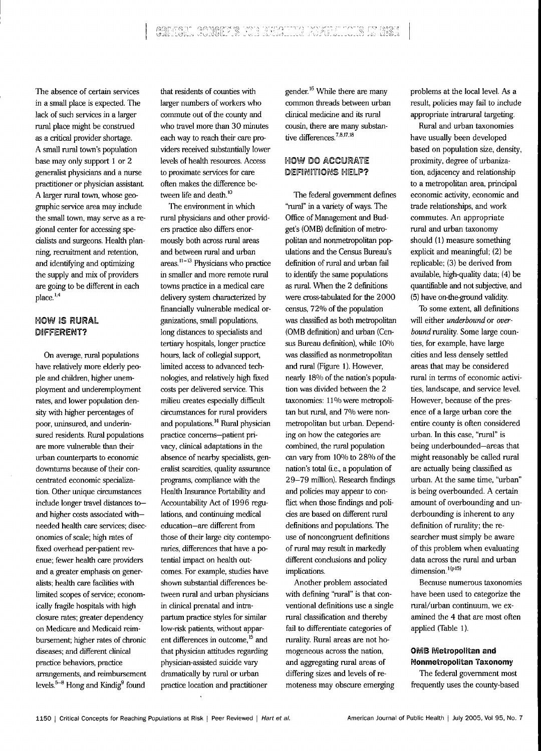The absence of certain services in a small place is expected. The lack of such services in a larger rural place might be construed as a critical provider shortage. A small rural town's population base may only support 1 or 2 generalist physicians and a nurse practitioner or physician assistant A larger rural town, whose geographic service area may include the small town, may serve as a regional center for accessing specialists and surgeons. Health planning, recruitment and retention, and identifying and optimizing the supply and mix of providers are going to be different in each  $place<sup>1,4</sup>$ 

## **HOW IS RURAL** DIFFERENT?

On average, rural populations have relatively more elderly people and children, higher unemployment and underemployment rates, and lower population density with higher percentages of poor, uninsured, and underinsured residents. Rural populations are more vulnerable than their urban counterparts to economic downturns because of their concentrated economic specialization. Other unique circumstances include longer travel distances to and higher costs associated with needed health care services; diseconomies of scale; high rates of fixed overhead per-patient revenue; fewer health care providers and a greater emphasis on generalists; health care facilities with limited scopes of service; economically fragile hospitals with high closure rates; greater dependency on Medicare and Medicaid reimbursement; higher rates of chronic diseases; and different clinical practice behaviors, practice arrangements, and reimbursement levels. $5-8$  Hong and Kindig<sup>9</sup> found

that residents of counties with larger numbers of workers who commute out of the county and who travel more than 30 minutes each way to reach their care providers received substantially lower levels of health resources. Access to proximate services for care often makes the difference between life and death.<sup>10</sup>

The environment in which rural physicians and other providers practice also differs enormously both across rural areas and between rural and urban  $area$ .<sup>11-13</sup> Physicians who practice in smaller and more remote rural towns practice in a medical care delivery system characterized by financially vulnerable medical organizations, small populations, long distances to specialists and tertiary hospitals, longer practice hours, lack of collegial support, limited access to advanced technologies, and relatively high fixed costs per delivered service. This milieu creates especially difficult circumstances for rural providers and populations.<sup>14</sup> Rural physician practice concerns—patient privacy, clinical adaptations in the absence of nearby specialists, generalist scarcities, quality assurance programs, compliance with the Health Insurance Portability and Accountability Act of 1996 regulations, and continuing medical education—are different from those of their large city contemporaries, differences that have a potential impact on health outcomes. For example, studies have shown substantial differences between rural and urban physicians in clinical prenatad and intrapartum practice styles for similar low-risk patients, without apparent differences in outcome,<sup>15</sup> and that physician attitudes regarding physician-assisted suicide vary dramatically by rural or urban practice location and practitioner

gender.<sup>16</sup> While there are many common threads between urban clinical medicine and its rural cousin, there are many substantive differences. $7,8.17,18$ 

## HOW DO ACCURATE DEFINITIONS HELP?

The federal government defines "rural" in a variety of ways. The Office of Management and Budget's (OMB) definition of metropolitan and nonmetropolitan populations and the Census Bureau's definition of rural and urban fail to identify the same populations as rural. When the 2 definitions were cross-tabulated for the 2000 census, 72% of the population was classified as both metropolitan (OMB definition) and urban (Census Bureau definition), while 10% was classified as nonmetropolitan and rural (Figure 1). However, nearly 18% of the nation's population was divided between the 2 taxonomies: 11% were metropolitan but rural, and 7% were nonmetropolitan but urban. Depending on how the categories are combined, the rural population can vary from 10% to 28% of the nation's total (i.e., a population of 29-79 million). Research findings and policies may appear to conflict when those findings and polides are based on different rural definitions and populations. The use of noncongruent definitions of rural may result in markedly different conclusions and policy implications.

Another problem associated with defining "rural" is that conventional definitions use a single rural classification and thereby fail to differentiate categories of rurality. Rural areas are not homogeneous across the nation, and aggregating rural areas of differing sizes and levels of remoteness may obscure emerging problems at the local level. As a result, policies may fail to include appropriate intrarural targeting.

Rural and urban taxonomies have usually been developed based on population size, density, proximity, degree of urbanization, adjacency and relationship to a metropolitan area, principal economic activity, economic and trade relationships, and work commutes. An appropriate rural and urban taxonomy should (1) measure something explicit and meaningful; (2) be replicable; (3) be derived from available, high-quality data; (4) be quantifiable and not subjective, and (5) have on-the-ground validify.

To some extent, all definitions will either *underbound* or *overbound* rurality. Some large counties, for example, have large cities and less densely settled areas that may be considered rural in terms of economic activities, landscape, and service level. However, because of the presence of a large urban core the entire county is often considered urban. In this case, "rural" is being underbounded—areas that might reasonably be called rural are actually being classified as urban. At the same time, "urban" is being overbounded. A certain amount of overbounding and underbounding is inherent to any definition of rurality; the researcher must simply be aware of this problem when evaluating data across the rural and urban dimension. $1(p15)$ 

Because numerous taxonomies have been used to categorize the rural/urban continuum, we examined the 4 that are most often applied (Table 1).

## OMB Metropolitan and Nonmetropolitan Taxonomy

The federal government most frequently uses the county-based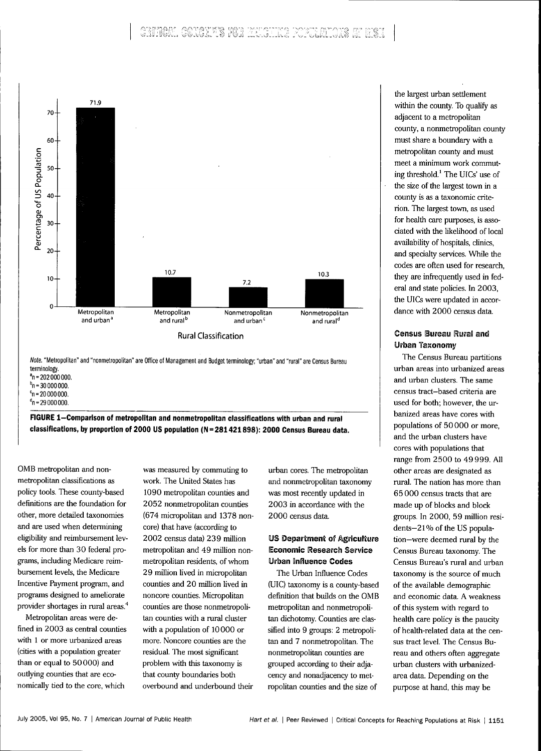

Note. "Metropolitan" and "nonmetropolitan" are Office of Management and Budget terminology; "urban" and "rural" are Census Bureau terminology.  $^{\circ}$ n = 202 000 000.

 $^{\rm b}$ n = 30 000 000.

 $c_n = 20000000$ .

 $^{\circ}$ n = 29 000 000.

FIGURE 1-Comparison of metropolitan and nonmetropolitan classifications with urban and rural **classifications, by proportion of 2000 US popuiation (N = 281421898): 2000 Census Bureau data.**

OMB metropolitan and nonmetropolitan classifications as policy tools. These county-based definitions are the foundation for other, more detailed taxonomies and are used when determining eligibility and reimbursement levels for more than 30 federal programs, including Medicare reimbursement levels, the Medicare Incentive Payment program, and programs designed to ameliorate provider shortages in rural areas<sup>4</sup>

Metropolitan areas were defined in 2003 as central counties with 1 or more urbanized areas (cities with a population greater than or equal to 50000) and outlying counties that are economically tied to the core, which

was measured by commuting to work. The United States has 1090 metropolitan counties and 2052 nonmetropolitan counties (674 micropolitan and 1378 noncore) that have (according to 2002 census data) 239 million metropolitan and 49 million nonmetropolitan residents, of whom 29 million lived in micropolitan counties and 20 million lived in noncore counties. Micropolitan counties are those nonmetropolitan counties with a rural cluster with a population of 10 000 or more. Noncore counties are the residual. The most significant problem with this taxonomy is that county boundaries both overbound and underbound their urban cores. The metropolitan and nonmetropolitan taxonomy was most recently updated in 2003 in accordance with the 2000 census data.

## **US Department of Agriculture Economic Research Service Urban Influence Codes**

The Urban Infiuence Codes (UIC) taxonomy is a county-based definition that builds on the OMB metropolitan and nonmetropolitan dichotomy. Counties are classified into 9 groups: 2 metropolitan and 7 nonmetropolitan. The nonmetropolitan counties are grouped according to their adjacency and nonadjacency to metropolitan counties and the size of

the largest urban settlement within the county. To qualify as adjacent to a metropolitan county, a nonmetropolitan county must share a boundary with a metropolitan county and must meet a minimum work commuting threshold.' The UICs' use of the size of the largest town in a counfy is as a taxonomic criterion. The largest town, as used for health care purposes, is associated with the likelihood of local availability of hospitals, clinics, and specialty services. While the codes are often used for research, they are infrequently used in federal and state policies. In 2003, the UICs were updated in accordance with 2000 census data.

## **Census Bureau Rurai and Urban Taxonomy**

The Census Bureau partitions urban areas into urbanized areas and urban clusters. The same census tract-based criteria are used for both; however, the urbanized areas have cores with populations of 50000 or more, and the urban clusters have cores with populations that range from 2500 to 49 999. All other areas are designated as rural. The nation has more than 65 000 census tracts that are made up of blocks and block groups. In 2000, 59 million residents-21% of the US population—were deemed rural by the Census Bureau taxonomy. The Census Bureau's rural and urban taxonomy is the source of much of the available demographic and economic data. A weakness of this system with regard to health care policy is the paucity of health-related data at the census tract level. The Census Bureau and others often aggregate urban clusters with urbanizedarea data. Depending on the purpose at hand, this may be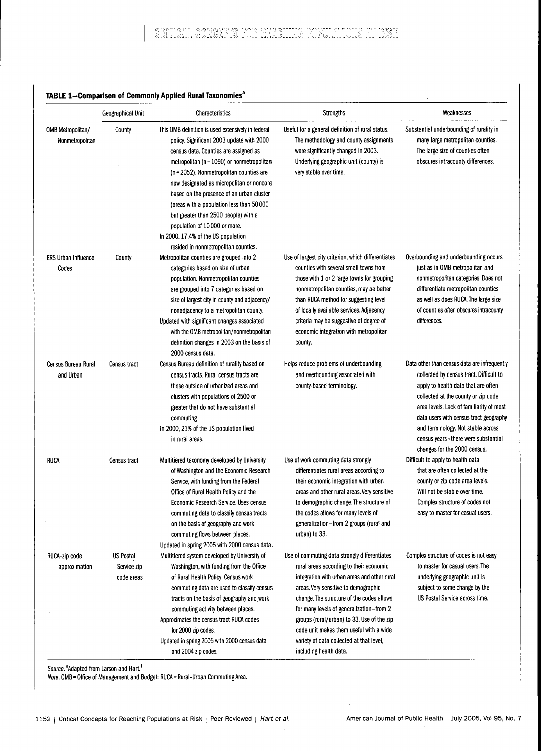## **TABLE 1-Comparison of Commoniy Appiied Rurai Taxonomies'**

|                                      | Geographical Unit                      | Characteristics                                                                                                                                                                                                                                                                                                                                                                                                                                                                                                                  | <b>Strengths</b>                                                                                                                                                                                                                                                                                                                                                                                                                         | Weaknesses                                                                                                                                                                                                                                                                                                                                                               |
|--------------------------------------|----------------------------------------|----------------------------------------------------------------------------------------------------------------------------------------------------------------------------------------------------------------------------------------------------------------------------------------------------------------------------------------------------------------------------------------------------------------------------------------------------------------------------------------------------------------------------------|------------------------------------------------------------------------------------------------------------------------------------------------------------------------------------------------------------------------------------------------------------------------------------------------------------------------------------------------------------------------------------------------------------------------------------------|--------------------------------------------------------------------------------------------------------------------------------------------------------------------------------------------------------------------------------------------------------------------------------------------------------------------------------------------------------------------------|
| OMB Metropolitan/<br>Nonmetropolitan | County                                 | This OMB definition is used extensively in federal<br>policy. Significant 2003 update with 2000<br>census data. Counties are assigned as<br>metropolitan (n = 1090) or nonmetropolitan<br>(n = 2052). Nonmetropolitan counties are<br>now designated as micropolitan or noncore<br>based on the presence of an urban cluster<br>(areas with a population less than 50 000<br>but greater than 2500 people) with a<br>population of 10000 or more.<br>In 2000, 17.4% of the US population<br>resided in nonmetropolitan counties. | Useful for a general definition of rural status.<br>The methodology and county assignments<br>were significantly changed in 2003.<br>Underlying geographic unit (county) is<br>very stable over time.                                                                                                                                                                                                                                    | Substantial underbounding of rurality in<br>many large metropolitan counties.<br>The large size of counties often<br>obscures intracounty differences.                                                                                                                                                                                                                   |
| <b>ERS Urban Influence</b><br>Codes  | County                                 | Metropolitan counties are grouped into 2<br>categories based on size of urban<br>population. Nonmetropolitan counties<br>are grouped into 7 categories based on<br>size of largest city in county and adjacency/<br>nonadjacency to a metropolitan county.<br>Updated with significant changes associated<br>with the OMB metropolitan/nonmetropolitan<br>definition changes in 2003 on the basis of<br>2000 census data.                                                                                                        | Use of largest city criterion, which differentiates<br>counties with several small towns from<br>those with 1 or 2 large towns for grouping<br>nonmetropolitan counties, may be better<br>than RUCA method for suggesting level<br>of locally available services. Adjacency<br>criteria may be suggestive of degree of<br>economic integration with metropolitan<br>county.                                                              | Overbounding and underbounding occurs<br>just as in OMB metropolitan and<br>nonmetropolitan categories. Does not<br>differentiate metropolitan counties<br>as well as does RUCA. The large size<br>of counties often obscures intracounty<br>differences.                                                                                                                |
| Census Bureau Rural<br>and Urban     | Census tract                           | Census Bureau definition of rurality based on<br>census tracts. Rural census tracts are<br>those outside of urbanized areas and<br>clusters with populations of 2500 or<br>greater that do not have substantial<br>commuting<br>In 2000, 21% of the US population lived<br>in rural areas.                                                                                                                                                                                                                                       | Helps reduce problems of underbounding<br>and overbounding associated with<br>county-based terminology.                                                                                                                                                                                                                                                                                                                                  | Data other than census data are infrequently<br>collected by census tract. Difficult to<br>apply to health data that are often<br>collected at the county or zip code<br>area levels. Lack of familiarity of most<br>data users with census tract geography<br>and terminology. Not stable across<br>census years-there were substantial<br>changes for the 2000 census. |
| <b>RUCA</b>                          | Census tract                           | Multitiered taxonomy developed by University<br>of Washington and the Economic Research<br>Service, with funding from the Federal<br>Office of Rural Health Policy and the<br>Economic Research Service. Uses census<br>commuting data to classify census tracts<br>on the basis of geography and work<br>commuting flows between places.<br>Updated in spring 2005 with 2000 census data.                                                                                                                                       | Use of work commuting data strongly<br>differentiates rural areas according to<br>their economic integration with urban<br>areas and other rural areas. Very sensitive<br>to demographic change. The structure of<br>the codes allows for many levels of<br>generalization-from 2 groups (rural and<br>urban) to 33.                                                                                                                     | Difficult to apply to health data<br>that are often collected at the<br>county or zip code area levels.<br>Will not be stable over time.<br>Complex structure of codes not<br>easy to master for casual users.                                                                                                                                                           |
| RUCA-zip code<br>approximation       | US Postal<br>Service zip<br>code areas | Multitiered system developed by University of<br>Washington, with funding from the Office<br>of Rural Health Policy. Census work<br>commuting data are used to classify census<br>tracts on the basis of geography and work<br>commuting activity between places.<br>Approximates the census tract RUCA codes<br>for 2000 zip codes.<br>Updated in spring 2005 with 2000 census data<br>and 2004 zip codes.                                                                                                                      | Use of commuting data strongly differentiates<br>rural areas according to their economic<br>integration with urban areas and other rural<br>areas. Very sensitive to demographic<br>change. The structure of the codes allows<br>for many levels of generalization-from 2<br>groups (rural/urban) to 33. Use of the zip<br>code unit makes them useful with a wide<br>variety of data collected at that level,<br>including health data. | Complex structure of codes is not easy<br>to master for casual users. The<br>underlying geographic unit is<br>subject to some change by the<br>US Postal Service across time.                                                                                                                                                                                            |

Source. <sup>a</sup>Adapted from Larson and Hart.<sup>1</sup>

Note. OMB = Office of Management and Budget; RUCA = Rural-Urban Commuting Area.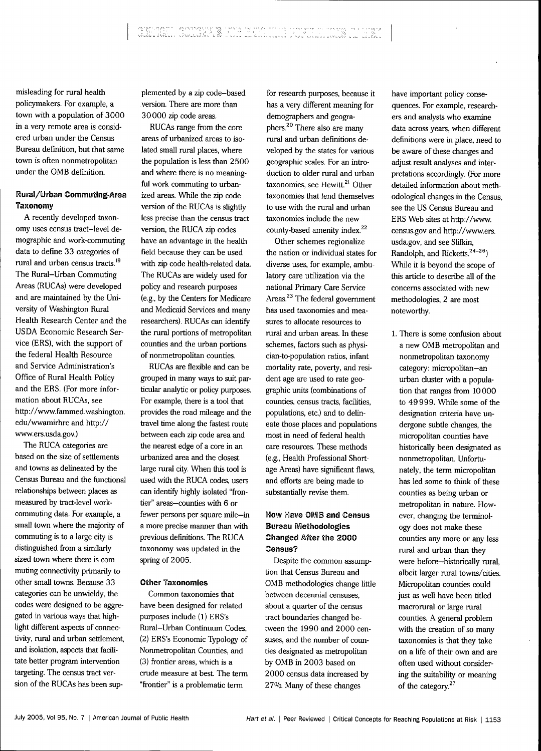misleading for rural health policymakers. For example, a town with a population of 3000 in a very remote area is considered urban under the Census Bureau definition, but that same town is often nonmetropolitan under the OMB definition.

## Rural/Urban Commuting-Area Taxonomy

A recently developed taxonomy uses census tract-level demographic and work-commuting data to define 33 categories of rural and urban census tracts.<sup>19</sup> The Rural-Urban Commuting Areas (RUCAs) were developed and are maintained by the University of Washington Rural Health Research Center and the US DA Economic Research Service (ERS), with the support of the federal Health Resource and Service Administration's Office of Rural Health Policy and the ERS. (For more information about RUCAs, see http://www.fammed.washington. edu/wwamirhrc and http:// www.ers.usda.gov.)

The RUCA categories are based on the size of settlements and tovms as delineated by the Census Bureau and the functional relationships between places as measured by tract-level workcommuting data. For example, a small town where the majority of commuting is to a large city is distinguished from a similarly sized town where there is commuting connectivity primarily to other small towns. Because 33 categories can be unwieldy, the codes were designed to be aggregated in various ways that highlight different aspects of connectivity, rural and urban settlement, and isolation, aspects that facilitate better program intervention targeting. The census tract version of the RUCAs has been supplemented by a zip code-based version. There are more than 30000 zip code areas.

RUCAs range from the core areas of urbanized areas to isolated small rural places, where the population is less than 2500 and where there is no meaningful work commuting to urbanized areas. While the zip code version of the RUCAs is slightly less precise than the census tract version, the RUCA zip codes have an advantage in the health field because they can be used with zip code health-related data. The RUCAs are widely used for policy and research purposes (e.g., by the Centers for Medicare and Medicaid Services and many researchers). RUCAs can identify the rural portions of metropolitan counties and the urban portions of nonmetropolitan counties.

RUCAs are flexible and can be grouped in many ways to suit particular analytic or policy purposes. For example, there is a tool that provides the road mileage and the travel time along the fastest route between each zip code area and the nearest edge of a core in an urbanized area and the closest large rural city. When this tool is used with the RUCA codes, users can identify highly isolated "frontier" areas—counties with 6 or fewer persons per square mile—in a more precise manner than with previous definitions. The RUCA taxonomy was updated in the spring of 2005.

### Other Taxonomies

Common taxonomies that have been designed for related purposes include (1) ERS's Rural-Urban Continuum Codes, (2) ERS's Economic Typology of Nonmetropolitan Counties, and (3) frontier areas, which is a crude measure at best. The term "frontier" is a problematic term

for research purposes, because it has a very different meaning for demographers and geographers.<sup>20</sup> There also are many rural and urban definitions developed by the states for various geographic scales. For an introduction to older rural and urban taxonomies, see Hewitt.<sup>21</sup> Other taxonomies that lend themselves to use with the rural and urban taxonomies include the new county-based amenity index.<sup>22</sup>

Other schemes regionalize the nation or individual states for diverse uses, for example, ambulatory care utilization via the national Primary Care Service Areas.<sup>23</sup> The federal government has used taxonomies and measures to allocate resources to rural and urban areas. In these schemes, factors such *as* physician-to-population ratios, infant mortality rate, poverty, and resident age are used to rate geographic units (combinations of counties, census tracts, facilities, populations, etc.) and to delineate those places and populations most in need of federal health care resources. These methods (e.g.. Health Professional Shortage Areas) have significant flaws, and efforts are being made to substantially revise them.

## **How Have OMB and Census Bureau Methodologies** Changed Afiei the 2000 Census?

Despite the common assumption that Census Bureau and OMB methodologies change little between decennial censuses, about a quarter of the census tract boundaries changed between the 1990 and 2000 censuses, and the number of counties designated as metropolitan by OMB in 2003 based on 2000 census data increased by 27%. Many of these changes

have important policy consequences. For example, researchers and analysts who examine data across years, when different definitions were in place, need to be aware of these changes and adjust result analyses and interpretations accordingly. (For more detailed information about methodological changes in the Census, see the US Census Bureau and ERS Web sites at http://www. census.gov and http://www.ers. usda.gov, and see Slifkin, Randolph, and Ricketts.<sup>24-26</sup>) While it is beyond the scope of this article to describe all of the concems associated with new methodologies, 2 are most noteworthy.

1. There is some confusion about a new OMB metropolitan and nonmetropolitan taxonomy category: micropolitan-an urban cluster with a population that ranges from 10 000 to 49999. While some of the designation criteria have undergone subtle changes, the micropolitan counties have historically been designated as nonmetropolitan. Unfortunately, the term micropolitan has led some to think of these counties as being urban or metropolitan in nature. However, changing the terminology does not make these counties any more or any less rural and urban than they were before-historically rural. albeit larger rural towns/cities. Micropolitan counties could just as well have been titled macrorural or large rural counties. A general problem with the creation of so many taxonomies is that they take on a life of their own and are often used without considering the suitabilify or meaning of the category. $27$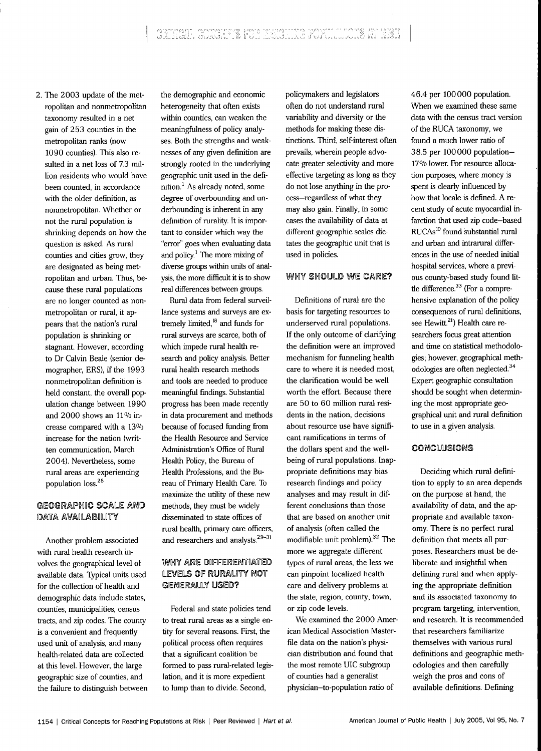2. The 2003 update of the metropolitan and nonmetropolitan taxonomy resulted in a net gain of 253 counties in the metropolitan ranks (now 1090 counties). This also resulted in a net loss of 7.3 million residents who would have been counted, in accordance with the older definition, as nonmetropolitan. Whether or not the rural population is shrinking depends on how the question is asked. As rural counties and cities grow, they are designated as being metropolitan and urban. Thus, because these rural populations are no longer counted as nonmetropolitan or rural, it appears that the nation's rural population is shrinking or stagnant. However, according to Dr Calvin Beale (senior demographer, ERS), if the 1993 nonmetropolitan definition is held constant, the overall population change between 1990 and 2000 shows an 11% increase compared with a 13% increase for the nation (written communication, March 2004). Nevertheless, some rural areas are experiencing population loss.<sup>28</sup>

## GEOGRAPHIC SCALE AND DATA AVAILABILITY

Another problem associated with rural health research involves the geographical level of available data. Typical units used for the collection of health and demographic data include states, counties, municipalities, census tracts, and zip codes. The county is a convenient and frequently used unit of analysis, and many health-related data are collected at this level. However, the large geographic size of counties, and the failure to distinguish between

the demographic and economic heterogeneity that often exists within counties, can weaken the meaningfulness of policy analyses. Both the strengths and weaknesses of any given definition are strongly rooted in the underlying geographic unit used in the definition.' As already noted, some degree of overbounding and underbounding is inherent in any definition of rurality. It is important to consider which way the "error" goes when evaluating data and policy.' The more mixing of diverse groups within units of analysis, the more difficult it is to show real differences between groups.

Rural data from federal surveillance systems and surveys are extremely limited,<sup>18</sup> and funds for rural surveys are scarce, both of which impede rural health research and policy analysis. Better rural health research methods and tools are needed to produce meaningful findings. Substantial progress has been made recently in data procurement and methods because of focused funding from the Health Resource and Service Administration's Office of Rural Health Policy, the Bureau of Health Professions, and the Bureau of Primary Health Care. To maximize the utility of these new methods, they must be widely disseminated to state offices of rural health, primary care officers, and researchers and analysts.<sup>29-31</sup>

## WHY ARE DIFFERENTIATED LEVELS OF RURALITY NOT GENERALLY USED?

Federal and state policies tend to treat rural areas as a single entity for several reasons. First, the political process often requires that a significant coalition be formed to pass rural-related legislation, and it is more expedient to lump than to divide. Second,

policymakers and legislators often do not understand rural variability and diversity or the methods for making these distinctions. Third, self-interest often prevails, wherein people advocate greater selectivity and more effective targeting as long as they do not lose anything in the process—regardless of what they may also gain. Finally, in some cases the availability of data at different geographic scales dictates the geographic unit that is used in policies.

## WHY SHOULD WE CARE?

Definitions of rural are the basis for targeting resources to underserved rural populations. If the only outcome of clarifying the definition were an improved mechanism for funneling health care to where it is needed most, the clarification would be well worth the effort. Because there are 50 to 60 million rural residents in the nation, decisions about resource use have significant ramifications in terms of the dollars spent and the wellbeing of rural populations. Inappropriate definitions may bias research findings and policy analyses and may result in different conclusions than those that are based on another unit of analysis (often called the modifiable unit problem). $32$  The more we aggregate different types of rural areas, the less we can pinpoint localized health care and delivery problems at the state, region, county, town, or zip code levels.

We examined the 2000 American Medical Association Masterfile data on the nation's physician distribution and found that the most remote UIC subgroup of counties had a generalist physician-to-population ratio of

46.4 per 100000 population. When we examined these same data with the census tract version of the RUCA taxonomy, we found a much lower ratio of 38.5 per 100000 population-17% lower. For resource allocation purposes, where money is spent is clearly influenced by how that locale is defined. A recent study of acute myocardial infarction that used zip code—based RUCAs<sup>10</sup> found substantial rural and urban and intramral differences in the use of needed initial hospital services, where a previous county-based study found little difference.<sup>33</sup> (For a comprehensive explanation of the policy consequences of rural definitions, see Hewitt.<sup>21</sup>) Health care researchers focus great attention and time on statistical methodologies; however, geographical methodologies are often neglected. $34$ Expert geographic consultation should be sought when determining the most appropriate geographical unit and rural definition to use in a given analysis.

## CONCLUSIONS

Deciding which rural definition to apply to an area depends on the purpose at hand, the availability of data, and the appropriate and available taxonomy. There is no perfect mral definition that meets all purposes. Researchers must be deliberate and insightful when defining rural and when applying the appropriate definition and its associated taxonomy to program targeting, intervention, and research. It is recommended that researchers familiarize themselves with various mral definitions and geographic methodologies and then carefully weigh the pros and cons of available definitions. Defining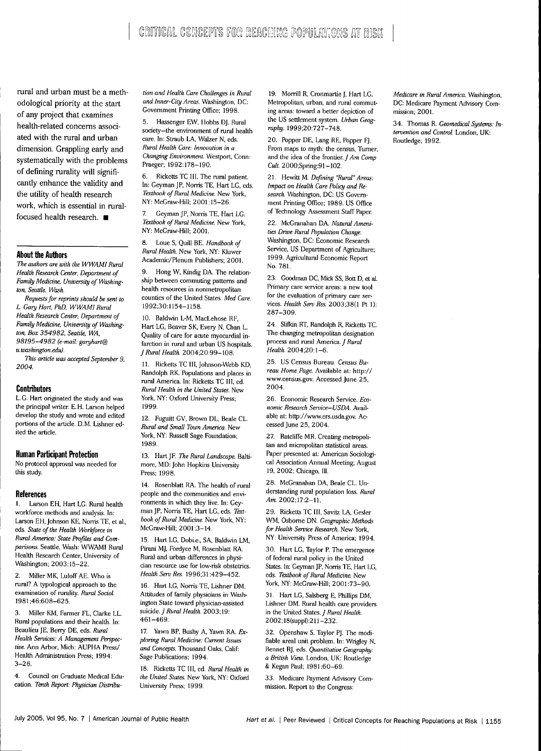rural and urban must be a methodological priority at the start of any project that examines health-related concerns associated with the mral and urban dimension. Grappling early and systematically with the problems of defining rurality will significantly enhance the validity and the utility of health research work, which is essential in ruralfocused health research.  $\blacksquare$ 

### **About the Authors**

*The authors are with the WWAMI Rural Health Research Center, Department of Family Medicine, University of Washington, Seattle, Wash.*

*Requests for reprints should be sent to L. Gary Hart, PhD, WWAMI Rural Health Research Center. Department of Family Medicine, University of Washington, Box 354982, Seattle. WA, 98195-4982 (e-mail: garyhart® u.washington.eduj.*

*This article was accepted September 9, 2004.*

#### **Contributors**

L. G. Hart originated the study and was the principal writer E. H. Larson helped develop the study and wrote and edited portions of the article. D.M. Lishner edited the article.

## **Human Participant Protection**

No protocol approval was needed for this study.

#### **References**

1. Larson EH, Hart LG. Rural health workforce methods and analysis. In: Larson EH, Johnson KE, Norris TE, et al., eds. *State of the Health Workforce in Rural America: State Profiles and Comparisons.* Seattle, Wash: WWAMI Rural Health Research Center, University of Washington; 2003:15-22.

2. Miller MK. Luloff AE. Who is rural? A typological approach to the examination of rurality. *Rural Sodot.* 1981;46:608-625.

3. Miller KM, Earmer FL, Clarke LL. Rural populations and their health. In: Beaulieu JE. Berry DE, eds. *Rural Health Services: A Management Perspective.* Ann Arbor, Mich: AUPHA Press/ Health Administration Press; 1994: 3-26.

4. Council on Graduate Medical Education. *Tenth Report: Physician Distribu-* *tion and Health Care Challenges in Rural and Inner-City Areas.* Washington, DC: Government Printing Office; 1998.

5. Hassenger EW, Hobbs DJ. Rural society—the environment of rural health care. In: Straub LA, Walzer N, eds. *Rural Health Care: Innovation in a Changing Environment.* Westport, Conn: Praeger; 1992:178-190.

6. Ricketts TC III. The rural patient. In: Geyman JP, Norris TE. Hart LG, eds. *Textbook of Rural Medicine.* New York, NY: McGraw-Hill; 2001:15-26.

7. Geyman JP, Norris TE, Hart LG. *Textbook of Rural Medicine.* New York, NY: McGraw-Hill; 2001.

8. Loue S, Quill BE. *Handbook of Rural Health.* New York, NY: Kluwer Academic/Plenum Publishers; 2001.

9. Hong W, Kindig DA. The relationship between commuting patterns and health resources in nonmetropolitan counties of the United States. *Med Care.* 1992;30:1154-1158.

10. Baldwin L-M. MacLehose RF, Hart LG, Beaver SK, Every N, Chan L. Quality of care for acute myocardial infarction in rural and urban US hospitals. *f Rural Health.* 2004;20:99-108.

11. Ricketts TC III, Johnson-Webb KD, Randolph RK. Populations and places in rural America. In: Ricketts TC III, ed. *Rural Health in the United States.* New York, NY: Oxford University Press; 1999.

12. Fuguitt GV, Brown DL, Beale CL. *Rural and Small Town America.* New York, NY: Russell Sage Foundation; 1989.

13. Hart JF. The Rural Landscape. Baltimore, MD: John Hopkins University Press; 1998.

14. Rosenblatt RA. The health of rural people and the communities and environments in which they live. In: Geyman JP, Norris TE, Hart LG, eds. *Textbook of Rural Medicine.* New York, NY: McGraw-Hill; 2001:3-14.

15. Hart LG, Dobi.e., SA. Baldwin LM, Pirani MJ, Fordyce M, Rosenblatt RA. Rural and urban differences in physician resource use for low-risk obstetrics. *Health Serv Res.* 1996;31:429-452.

16. Hart LG, Norris TE, Lishner DM. Attitudes of family physicians in Washington State toward physician-assisted *suidde. f Rural Health.* 2003; 19: 461-469.

17. Yawn BP, Bushy A, Yawn RA. *Exploring Rural Medicine: Current Issues and Concepts.* Thousand Oaks, Calif: Sage Publications; 1994.

18. Ricketts TC III, ed. *Rural Health in the United States.* New York, NY: Oxford University Press; 1999.

19. Morrill R, Cronmartie J, Hart LG. Metropolitan, urban, and rural commuting areas: toward a better depiction of the US settlement system. *Urban Geography.* 1999;20:727-748.

20. Popper DE, Lang RE, Popper FJ. From maps to myth: the census. Turner, and the idea of the frontier. *J Am Comp Cult* 2000;Spring:91-102.

21. Hewitt M. *Defining 'Rural" Areas: Impact on Health Care Policy and Research.* Washington. DC: US Govemment Printing Office; 1989. US Office of Technology Assessment Staff Paper.

22. McGranahan DA. *Natural Amenities Drive Rural Population Change.* Washington, DC: Economic Research Service, US Department of Agriculture; 1999. Agricultural Economic Report No. 781.

23. Goodman DC, Mick SS, Bott D, et al. Primary care service areas: a new tool for the evaluation of primary care services. *Health Serv Res.* 2003;38(l Pt 1): 287-309.

24. Slifkin RT, Randolph R, Ricketts TC. The changing metropolitan designation process and rural America. J Rural *Health.* 2004;20:l-6.

25. US Census Bureau. *Census Bureau Home Page.* Available at: http:// www.census.gov. Accessed June 25, 2004.

26. Economic Research Service. *Economic Research Service—USDA.* Available at: http://www.ers.usda.gov. Accessed June 25, 2004.

27. Ratcliffe MR. Creating metropolitan and micropolitan statistical areas. Paper presented at: American Sociological Association Annual Meeting; August 19, 2002; Chicago, III.

28. McGranahan DA, Beale CL. Understanding mral population loss. *Rural* Am. 2002;17:2-11.

29. Ricketts TC III. Savitz LA. Gesler WM, Osbome DN. *Geographic Methods for Health Service Research.* New York, NY: University Press of America; 1994.

30. Hart LG, Taylor P. The emergence of federal mral policy in the United States. In: Geyman JP. Norris TE. Hart LG, eds. *Textbook of Rural Medicine.* New York, NY: McGraw-Hill; 2001:73-90.

31. Hart LG, Salsberg E, Phillips DM, Lishner DM. Rural health care providers in the United States. / *Rural Health.* 2002;18(suppl):211-232.

32. Openshaw S. Taylor PJ. The modifiable areal unit problem. In: Wrigley N, Bennet RJ, eds. *Quantitative Geography: a British View.* London, UK: Routledge & Kegan Paul; 1981:60-69.

33. Medicare Payment Advisory Commission. Report to the Congress:

*Medicare in Rural America.* Washington, DC: Medicare Payment Advisory Commission; 2001.

34. Thomas R. *Geomedical Systems: Intervention and Control.* London, UK: Routledge; 1992.